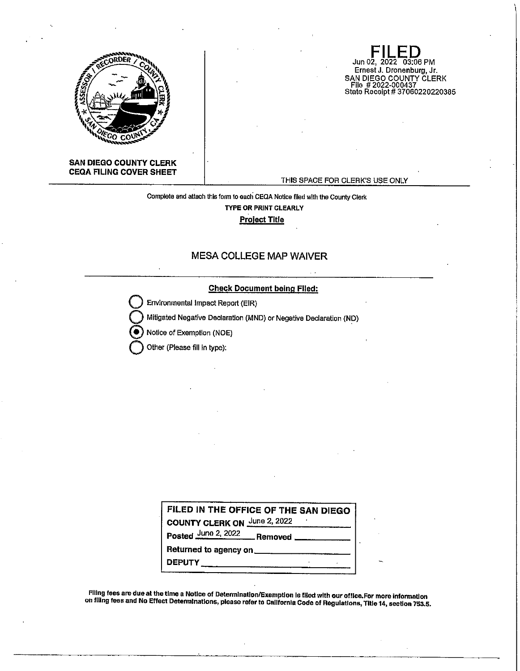

**SAN DIEGO COUNTY CLERK CEQA FILING COVER SHEET** 

THIS SPACE FOR CLERK'S USE ONLY

Jun 02, 2022 03:06 PM Ernest J. Dronenburg, Jr.

SAN DIEGO COUNTY CLERK File # 2022-000437 State Receipt# 37060220220385

Complete and attach this form to each CEQA Notice flled with the County Clerk **TYPE OR PRINT CLEARLY Pro!ect Title** 

## **MESA COLLEGE MAP WAIVER**

## **Check Document being Flied:**

**Environmental Impact Report (EIR)** 

**Q** Mitigated Negative Declaration (MND) or Negative Declaration (ND)

@ Notice of Exemption (NOE)

**Other (Please fill in type):** 

| FILED IN THE OFFICE OF THE SAN DIEGO       |  |  |  |  |  |  |  |  |
|--------------------------------------------|--|--|--|--|--|--|--|--|
| <b>COUNTY CLERK ON June 2, 2022</b>        |  |  |  |  |  |  |  |  |
| Posted June 2, 2022 Removed _____________  |  |  |  |  |  |  |  |  |
| Returned to agency on ____________________ |  |  |  |  |  |  |  |  |
| <b>DEPUTY</b>                              |  |  |  |  |  |  |  |  |

FIiing fees are due at the time a Notice of Determination/Exemption Is flied with our office.For more Information on filing fees and No Effect Determinations, please refer to Callfornta Code of Regulations, Title 14, section 753,5.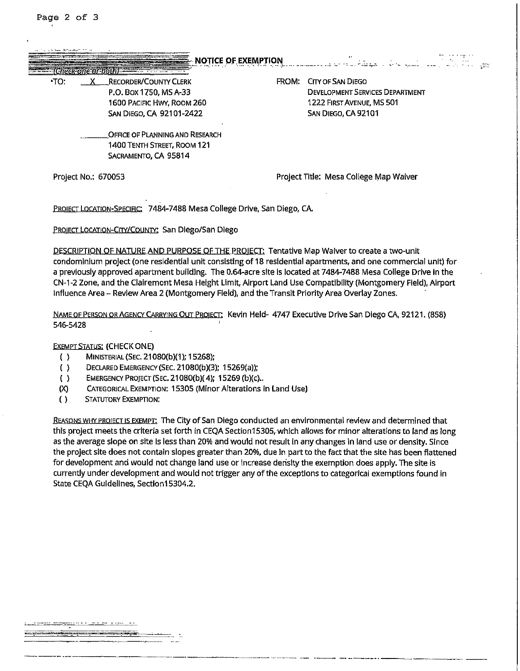| .TO:                | <b>RECORDER/COUNTY CLERK</b>                                            | FROM: | <b>CITY OF SAN DIEGO</b>               |
|---------------------|-------------------------------------------------------------------------|-------|----------------------------------------|
|                     | P.O. Box 1750, MS A-33                                                  |       | <b>DEVELOPMENT SERVICES DEPARTMENT</b> |
|                     | 1600 Pacific Hwy, Room 260                                              |       | 1222 FIRST AVENUE, MS 501              |
|                     | <b>SAN DIEGO, CA 92101-2422</b>                                         |       | SAN DIEGO, CA 92101                    |
|                     | <b>OFFICE OF PLANNING AND RESEARCH</b>                                  |       |                                        |
|                     | 1400 TENTH STREET, ROOM 121                                             |       |                                        |
|                     | SACRAMENTO, CA 95814                                                    |       |                                        |
| Project No.: 670053 |                                                                         |       | Project Title: Mesa College Map Waiver |
|                     | PROJECT LOCATION-SPECIFIC: 7484-7488 Mesa College Drive, San Diego, CA. |       |                                        |

DESCRIPTION OF NATURE AND PURPOSE OF THE PROIECT: Tentative Map Waiver to create a two-unit condominium project (one residential unit consisting of 18 residential apartments, and one commercial unit) for a previously approved apartment building. The 0.64-acre site is located at 7484-7488 Mesa College Drive in the CN-1-2 Zone, and the Clairemont Mesa Height Limit, Airport Land Use Compatibility (Montgomery Field), Airport Influence Area - Review Area 2 (Montgomery Field), and the Transit Priority Area Overlay Zones.

NAME OF PERSON OR AGENCY CARRYING OUT PBOIECT' Kevin Held- 4747 Executive Drive San Diego CA, 92121. (858) 546-5428

## EXEMPT STATUS: (CHECK ONE)

- ( ) MINISTERIAL (SEC. 21080(b)(1 ); 15268);
- ( ) DECLARED EMERGENcY(SEC. 21080(b)(3); 15269(a));
- ( ) EMERGENcY PROJECT (SEC. 21080(b)( 4); 15269 (b)(c) ..
- (X) CATEGORICAL EXEMPTION: 15305 (Minor Alterations in Land Use)
- ( ) STATUTORY EXEMPTION:

REASONS WHY PROJECT IS EXEMPT: The City of San Diego conducted an environmental review and determined that this project meets the criteria set forth in CEQA Section15305, which allows for minor alterations to land as Jong as the average slope on site is less than 20% and would not result in any changes in land use or density. Since the project site does not contain slopes greater than 20%, due in part to the fact that the site has been flattened for development and would not change land use or increase density the exemption does apply. The site is currently under development and would not trigger any of the exceptions to categorical exemptions found in State CEQA Guidelines, Section15304.2.

------------------ ------------- --- ------------------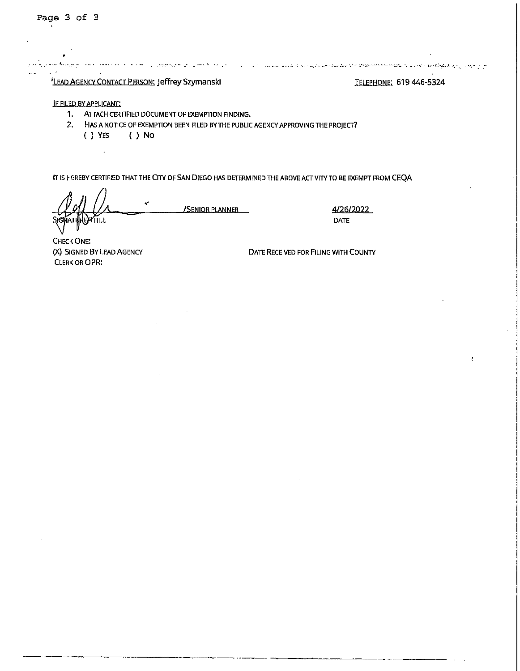يحجل وسيرون وأحيال

<sup>'</sup>LEAD AGENCY CONTACT PERSON: Jeffrey Szymanski TELEPHONE: 619 446-5324

## IF FILED BY APPLICANT:

- 1, ATTACH CERTIFIED DOCUMENT OF EXEMPTION FINDING.
- 2. HAS A NOTICE OF EXEMPTION BEEN FILED BY THE PUBLIC AGENCY APPROVING THE PROJECT? ( ) YES ( ) No

IT IS HEREBY CERTIFIED THAT THE CITY OF SAN DIEGO HAS DETERMINED THE ABOVE ACTIVITY TO BE EXEMPT FROM CEQA

**TTLE** 

 $\mathcal{L}$ 

**/SENIOR PLANNER** 4/26/2022

DATE

CHECK ONE: (X) SIGNED BY LEAD AGENCY CLERK OR OPR:

DATE RECEIVED FOR FILING WITH COUNTY

in survey that we are allowed a started by the second and a started of the second from the model of the started of the product of the product of the product of the product of the product of the product of the product of th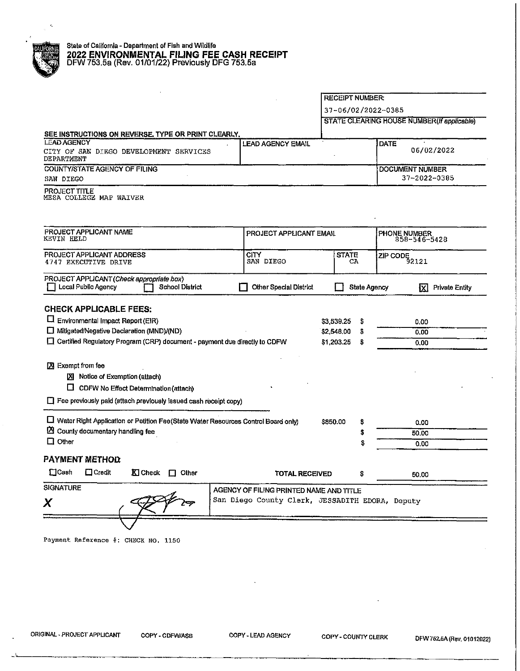|                                                                                            |                               |                                             | <b>RECEIPT NUMBER:</b><br>37-06/02/2022-0385 |                                        |  |
|--------------------------------------------------------------------------------------------|-------------------------------|---------------------------------------------|----------------------------------------------|----------------------------------------|--|
|                                                                                            |                               |                                             |                                              |                                        |  |
|                                                                                            |                               | STATE CLEARING HOUSE NUMBER (If applicable) |                                              |                                        |  |
| SEE INSTRUCTIONS ON REVERSE, TYPE OR PRINT CLEARLY.                                        |                               |                                             |                                              |                                        |  |
| <b>LEAD AGENCY</b><br>CITY OF SAN DIEGO DEVELOPMENT SERVICES<br>DEPARTMENT                 | <b>LEAD AGENCY EMAIL</b>      |                                             | DATE                                         | 06/02/2022                             |  |
| <b>COUNTY/STATE AGENCY OF FILING</b><br>SAN DIEGO                                          |                               |                                             |                                              | <b>DOCUMENT NUMBER</b><br>37-2022-0385 |  |
| <b>PROJECT TITLE</b><br>MESA COLLEGE MAP WAIVER                                            |                               |                                             |                                              |                                        |  |
| PROJECT APPLICANT NAME<br><b>KEVIN HELD</b>                                                |                               | PROJECT APPLICANT EMAIL                     |                                              | PHONE NUMBER<br>858-546-5428           |  |
| PROJECT APPLICANT ADDRESS                                                                  | <b>CITY</b><br>SAN DIEGO      | <b>STATE</b><br>CA.                         |                                              | ZIP CODE<br>92121                      |  |
| 4747 EXECUTIVE DRIVE                                                                       |                               |                                             |                                              |                                        |  |
| PROJECT APPLICANT (Check appropriate box)<br>Local Public Agency<br><b>School District</b> | <b>Other Special District</b> |                                             | <b>State Agency</b>                          | М<br><b>Private Entity</b>             |  |
| <b>CHECK APPLICABLE FEES:</b>                                                              |                               |                                             |                                              |                                        |  |
| $\Box$ Environmental Impact Report (EIR)                                                   |                               | \$3,539.25                                  |                                              | 0.00                                   |  |
| Mitigated/Negative Declaration (MND)/(ND)                                                  |                               | \$<br>\$2,548.00<br>\$                      |                                              |                                        |  |
| □ Certified Regulatory Program (CRP) document - payment due directly to CDFW               |                               | \$1,203.25<br>\$                            |                                              | 0.00<br>0.00                           |  |
|                                                                                            |                               |                                             |                                              |                                        |  |
| X Exempt from fee<br><b>区</b> Notice of Exemption (attach)                                 |                               |                                             |                                              |                                        |  |
| $\Box$ CDFW No Effect Determination (attach)                                               |                               |                                             |                                              |                                        |  |
| Fee previously paid (attach previously issued cash receipt copy)                           |                               |                                             |                                              |                                        |  |
|                                                                                            |                               |                                             |                                              |                                        |  |
| Mater Right Application or Petition Fee(State Water Resources Control Board only)          |                               | \$850.00<br>\$                              |                                              | 0.00                                   |  |
| $\mathbb{\Sigma}$ County documentary handling fee                                          |                               | \$                                          |                                              | 50,00                                  |  |
| $\Box$ Other                                                                               |                               | \$                                          |                                              | 0.00                                   |  |
| <b>PAYMENT METHOD</b>                                                                      |                               |                                             |                                              |                                        |  |
|                                                                                            |                               |                                             |                                              |                                        |  |

 $\bar{z}$ 

 $\hat{\mathcal{L}}$